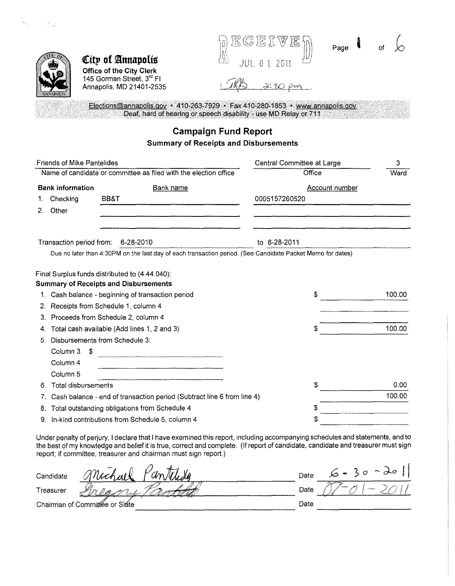|                                                                                          | GERIW<br>JE.<br>$ S_n $                                                       | Page |  |
|------------------------------------------------------------------------------------------|-------------------------------------------------------------------------------|------|--|
| City of Annapolis                                                                        | 붱<br>HH 0 1 2011                                                              |      |  |
| <b>Office of the City Cierk</b><br>145 Gorman Street, 3rd FI<br>Annapolis, MD 21401-2535 |                                                                               |      |  |
|                                                                                          | Elections@annapolis.gov • 410-263-7929 • Fax 410-280-1853 • www.annapolis.gov |      |  |

Deaf, hard of hearing or speech disability - use MD Relay or 711

# **Campaign Fund Report Summary of Receipts and Disbursements**

 $\vec{r}^{\prime}$  ,  $\vec{p}$ 

| <b>Friends of Mike Pantelides</b>                                                                          | Central Committee at Large | 3      |
|------------------------------------------------------------------------------------------------------------|----------------------------|--------|
| Name of candidate or committee as filed with the election office                                           | Office                     |        |
| <b>Bank information</b><br><b>Bank name</b>                                                                | <b>Account number</b>      |        |
| Checking<br>BB&T                                                                                           | 0005157260520              |        |
| Other<br>2.                                                                                                |                            |        |
| Transaction period from:<br>6-28-2010                                                                      | to 6-28-2011               |        |
| Due no later than 4:30PM on the last day of each transaction period. (See Candidate Packet Memo for dates) |                            |        |
| Final Surplus funds distributed to (4.44.040):                                                             |                            |        |
| <b>Summary of Receipts and Disbursements</b>                                                               |                            |        |
| Cash balance - beginning of transaction period                                                             | S                          | 100.00 |
| Receipts from Schedule 1, column 4<br>2.                                                                   |                            |        |
| Proceeds from Schedule 2, column 4<br>З.                                                                   |                            |        |
| Total cash available (Add lines 1, 2 and 3)<br>4.                                                          | S                          | 100.00 |
| Disbursements from Schedule 3:<br>5.                                                                       |                            |        |
| Column 3<br>\$                                                                                             |                            |        |
| Column 4                                                                                                   |                            |        |
| Column <sub>5</sub>                                                                                        |                            |        |
| <b>Total disbursements</b><br>6.                                                                           | \$                         | 0.00   |
| Cash balance - end of transaction period (Subtract line 6 from line 4)<br>7.                               |                            | 100.00 |
| Total outstanding obligations from Schedule 4<br>8.                                                        | S                          |        |
| In-kind contributions from Schedule 5, column 4                                                            | \$                         |        |

Under penalty of perjury, I declare that I have examined this report, including accompanying schedules and statements, and to the best of my knowledge and belief it is true, correct and complete. (If report of candidate, candidate and treasurer must sign report; if committee, treasurer and chairman must sign report.)

| am<br>$\Delta$ at $V$<br>Candidate | Date | بصليم<br>- 79<br>÷                 |
|------------------------------------|------|------------------------------------|
| Treasurer                          | Date | <b>CONTINUES</b><br><b>NGCLUMM</b> |
| Chairman of Committée or Slate     | Date |                                    |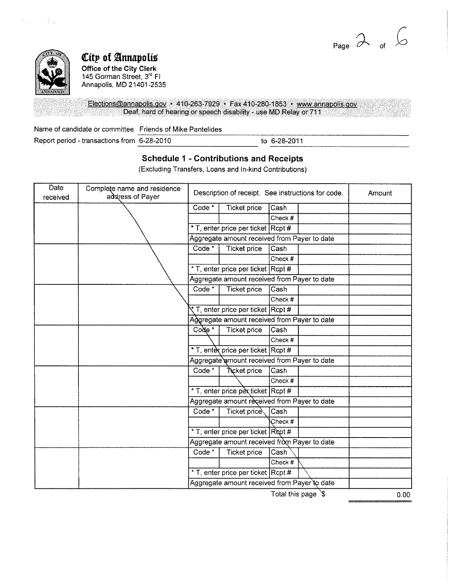Page  $\phi$  of



**City of Annapolis Office of the City Clerk**  145 Gorman Street, 3<sup>rd</sup> Fl Annapolis, MD 21401-2535

Elections@annapolis.gov • 410-263-7929 • Fax 410-280-1853 • www.annapolis.gov Deaf, hard of hearing or speech disability - use MD Relay or 711

| Name of candidate or committee Friends of Mike Pantelides |  |                |
|-----------------------------------------------------------|--|----------------|
| Report period - transactions from 6-28-2010               |  | to 6-28-2011   |
|                                                           |  | -------------- |

## **Schedule 1 - Contributions and Receipts**

(Excluding Transfers, Loans and In-kind Contributions)

| Date<br>received | Complete name and residence<br>address of Payer |                                              | Description of receipt. See instructions for code. |         |                     | Amount |
|------------------|-------------------------------------------------|----------------------------------------------|----------------------------------------------------|---------|---------------------|--------|
|                  |                                                 | Code <sup>*</sup>                            | <b>Ticket price</b>                                | Cash    |                     |        |
|                  |                                                 |                                              |                                                    | Check # |                     |        |
|                  |                                                 |                                              | * T, enter price per ticket Rcpt #                 |         |                     |        |
|                  |                                                 |                                              | Aggregate amount received from Payer to date       |         |                     |        |
|                  |                                                 | Code*                                        | <b>Ticket price</b>                                | Cash    |                     |        |
|                  |                                                 |                                              |                                                    | Check # |                     |        |
|                  |                                                 |                                              | * T, enter price per ticket Rcpt #                 |         |                     |        |
|                  |                                                 |                                              | Aggregate amount received from Payer to date       |         |                     |        |
|                  |                                                 | Code <sup>*</sup>                            | <b>Ticket price</b>                                | Cash    |                     |        |
|                  |                                                 |                                              |                                                    | Check # |                     |        |
|                  |                                                 |                                              | T, enter price per ticket Rcpt #                   |         |                     |        |
|                  |                                                 |                                              | Aggregate amount received from Payer to date       |         |                     |        |
|                  |                                                 | $Code*$                                      | <b>Ticket price</b>                                | Cash    |                     |        |
|                  |                                                 |                                              |                                                    | Check # |                     |        |
|                  |                                                 |                                              | * T, enter price per ticket Rcpt #                 |         |                     |        |
|                  |                                                 |                                              | Aggregate amount received from Payer to date       |         |                     |        |
|                  |                                                 | Code <sup>*</sup>                            | Ticket price                                       | Cash    |                     |        |
|                  |                                                 |                                              |                                                    | Check # |                     |        |
|                  |                                                 |                                              | * T, enter price per ticket Rcpt #                 |         |                     |        |
|                  |                                                 |                                              | Aggregate amount received from Payer to date       |         |                     |        |
|                  |                                                 | Code <sup>*</sup>                            | Ticket price                                       | Cash    |                     |        |
|                  |                                                 |                                              |                                                    | Check#  |                     |        |
|                  |                                                 |                                              | * T, enter price per ticket Rept #                 |         |                     |        |
|                  |                                                 | Aggregate amount received from Payer to date |                                                    |         |                     |        |
|                  |                                                 | Code <sup>*</sup>                            | <b>Ticket price</b>                                | Cash    |                     |        |
|                  |                                                 |                                              |                                                    | Check # |                     |        |
|                  |                                                 |                                              | * T, enter price per ticket Rcpt #                 |         |                     |        |
|                  |                                                 |                                              | Aggregate amount received from Payer to date       |         |                     |        |
|                  |                                                 |                                              |                                                    |         | Total this page \\$ | 0.00   |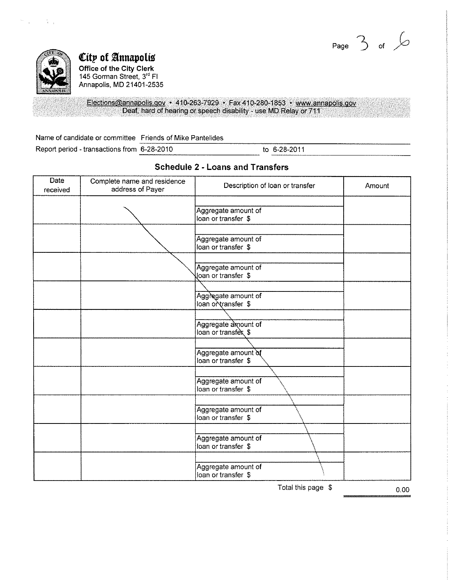



 $\sim$   $\sim$ 

 $\mathbf{v}_{\mathrm{in}}$  .

*City of Annapolis* **Office of the City Clerk**  145 Gorman Street, 3'' Fl Annapolis, MD 21401-2535

Elections@annapolis.gov • 410-263-7929 • Fax 410-280-1853 • www.annapolis.gov Deaf, hard of hearing or speech disability - use MD Relay or 711

Name of candidate or committee Friends of Mike Pantelides<br>Report period - transactions from 6-28-2010 to 6-28-2011

| <b>Date</b><br>received | Complete name and residence<br>address of Payer | Description of loan or transfer            | Amount |
|-------------------------|-------------------------------------------------|--------------------------------------------|--------|
|                         |                                                 | Aggregate amount of<br>loan or transfer \$ |        |
|                         |                                                 | Aggregate amount of<br>loan or transfer \$ |        |
|                         |                                                 | Aggregate amount of<br>Joan or transfer \$ |        |
|                         |                                                 | Aggregate amount of<br>loan or transfer \$ |        |
|                         |                                                 | Aggregate amount of<br>loan or transfex \$ |        |
|                         |                                                 | Aggregate amount of<br>loan or transfer \$ |        |
|                         |                                                 | Aggregate amount of<br>loan or transfer \$ |        |
|                         |                                                 | Aggregate amount of<br>loan or transfer \$ |        |
|                         |                                                 | Aggregate amount of<br>loan or transfer \$ |        |
|                         |                                                 | Aggregate amount of<br>loan or transfer \$ |        |

### **Schedule 2 - Loans and Transfers**

Total this page  $\frac{1}{2}$  0.00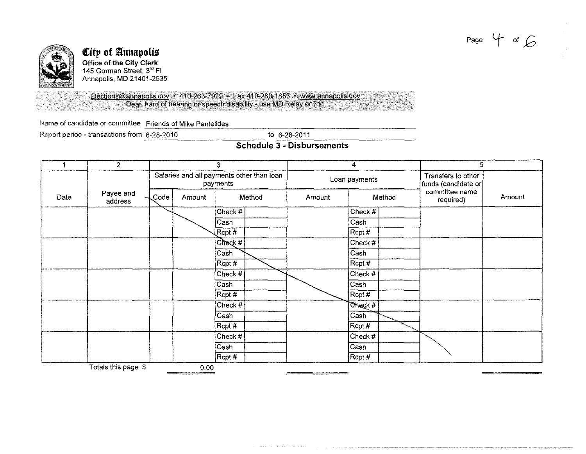Page  $4$  of  $6$ 



#### *City* of Annapolis **Office of the City Clerk**  145 Gorman Street, 3'' **Fl**  Annapolis, MD 21401-2535

Elections@annapolis.gov • 410-263-7929 • Fax 410-280-1853 • www.annapolis.gov Deaf, hard of hearing or speech disability - use MD Relay or 711.

Name of candidate or committee Friends of Mike Pantelides <br>Report period - transactions from 6-28-2010 to 6-28-2011

Report period - transactions from 6-28-2010

## **Schedule 3 - Disbursements**

|      | 2                    | 3    |                                                       | 4                        |  | 5             |                          |                                           |                             |        |
|------|----------------------|------|-------------------------------------------------------|--------------------------|--|---------------|--------------------------|-------------------------------------------|-----------------------------|--------|
|      |                      |      | Salaries and all payments other than loan<br>payments |                          |  | Loan payments |                          | Transfers to other<br>funds (candidate or |                             |        |
| Date | Payee and<br>address | Code | Amount                                                | Method                   |  | Amount        |                          | Method                                    | committee name<br>required) | Amount |
|      |                      |      |                                                       | Check #                  |  |               | Check #                  |                                           |                             |        |
|      |                      |      |                                                       | $\overline{\text{Cash}}$ |  |               | Ca <sub>sh</sub>         |                                           |                             |        |
|      |                      |      |                                                       | $R$ cpt#                 |  |               | Rcpt #                   |                                           |                             |        |
|      |                      |      |                                                       | Chack #                  |  |               | Check#                   |                                           |                             |        |
|      |                      |      |                                                       | Cash                     |  |               | $\overline{\text{Cash}}$ |                                           |                             |        |
|      |                      |      |                                                       | $\sqrt{\text{Ropt H}}$   |  |               | RCpt#                    |                                           |                             |        |
|      |                      |      |                                                       | Check $#$                |  |               | Check #                  |                                           |                             |        |
|      |                      |      |                                                       | $\overline{\text{Cash}}$ |  |               | Cash                     |                                           |                             |        |
|      |                      |      |                                                       | $R$ cpt#                 |  |               | RCpt#                    |                                           |                             |        |
|      |                      |      |                                                       | Check #                  |  |               | Check #                  |                                           |                             |        |
|      |                      |      |                                                       | Cash                     |  |               | Cash                     |                                           |                             |        |
|      |                      |      |                                                       | Rcpt #                   |  |               | $ {\sf R}$ cpt #         |                                           |                             |        |
|      |                      |      |                                                       | Check #                  |  |               | Check #                  |                                           |                             |        |
|      |                      |      |                                                       | Cash                     |  |               | Cash                     |                                           |                             |        |
|      |                      |      |                                                       | $Ropt$ #                 |  |               | RCpt#                    |                                           |                             |        |
|      | Totals this page \$  |      | 0.00                                                  |                          |  |               |                          |                                           |                             |        |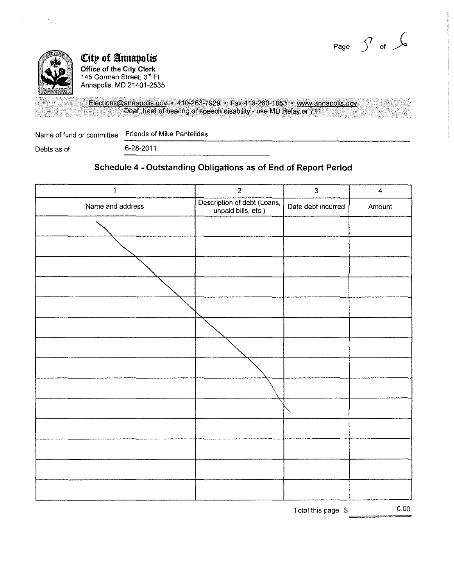



 $\tau=\frac{1}{2} \frac{1}{\tau_{\rm eff}}$ 

**City of Annapolis Office of the Cily Clerk**  145 Gorman Street, 3'' Fl Annapolis, MD 21401-2535

Elections@annapolis.gov • 410-263-7929 • Fax 410-280-1853 • www.annapolis.gov Deaf, hard of hearing or speech disability - use MD Relay or 711

Name of fund or committee Friends of Mike Pantelides<br>Debts as of 6-28-2011

## **Schedule 4 - Outstanding Obligations as of End of Report Period**

| $\mathbf{1}$     | $\overline{2}$                                     | $\mathbf{3}$       | $\overline{\mathbf{4}}$ |
|------------------|----------------------------------------------------|--------------------|-------------------------|
| Name and address | Description of debt (Loans,<br>unpaid bills, etc.) | Date debt incurred | Amount                  |
|                  |                                                    |                    |                         |
|                  |                                                    |                    |                         |
|                  |                                                    |                    |                         |
|                  |                                                    |                    |                         |
|                  |                                                    |                    |                         |
|                  |                                                    |                    |                         |
|                  |                                                    |                    |                         |
|                  |                                                    |                    |                         |
|                  |                                                    |                    |                         |
|                  |                                                    |                    |                         |
|                  |                                                    |                    |                         |
|                  |                                                    |                    |                         |
|                  |                                                    |                    |                         |
|                  |                                                    |                    |                         |
|                  |                                                    |                    |                         |

Total this page  $\beta$  0.00